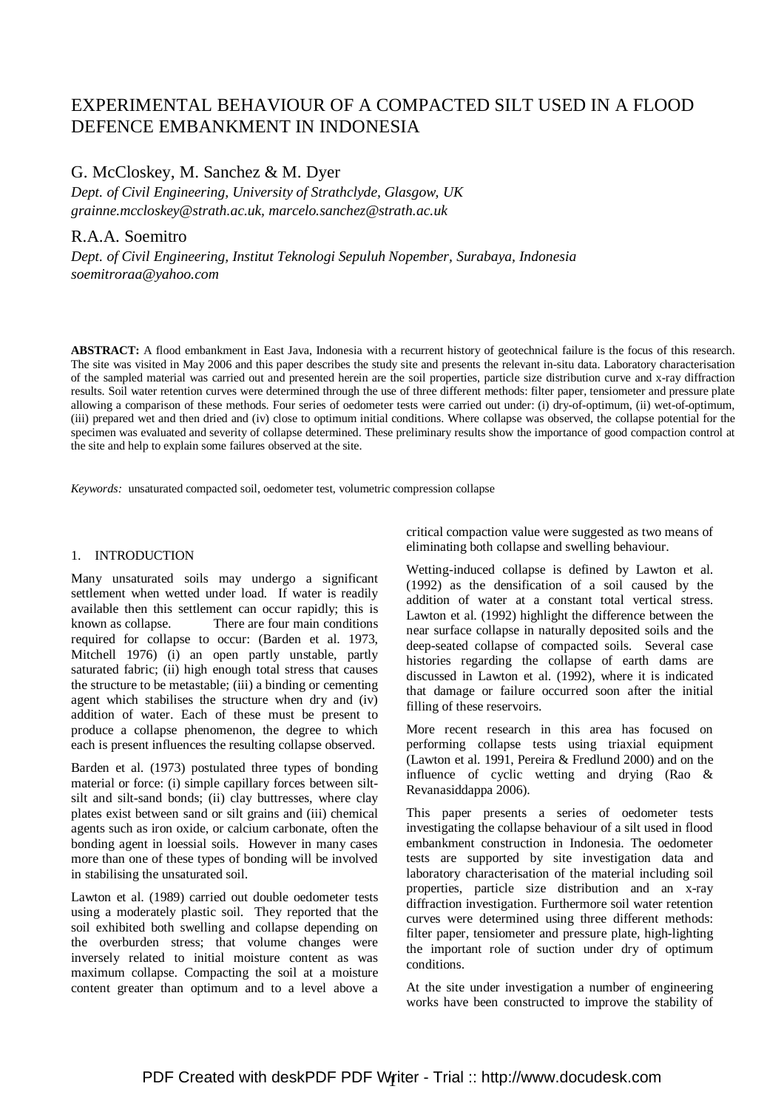# EXPERIMENTAL BEHAVIOUR OF A COMPACTED SILT USED IN A FLOOD DEFENCE EMBANKMENT IN INDONESIA

## G. McCloskey, M. Sanchez & M. Dyer

*Dept. of Civil Engineering, University of Strathclyde, Glasgow, UK grainne.mccloskey@strath.ac.uk, marcelo.sanchez@strath.ac.uk* 

## R.A.A. Soemitro

*Dept. of Civil Engineering, Institut Teknologi Sepuluh Nopember, Surabaya, Indonesia soemitroraa@yahoo.com* 

**ABSTRACT:** A flood embankment in East Java, Indonesia with a recurrent history of geotechnical failure is the focus of this research. The site was visited in May 2006 and this paper describes the study site and presents the relevant in-situ data. Laboratory characterisation of the sampled material was carried out and presented herein are the soil properties, particle size distribution curve and x-ray diffraction results. Soil water retention curves were determined through the use of three different methods: filter paper, tensiometer and pressure plate allowing a comparison of these methods. Four series of oedometer tests were carried out under: (i) dry-of-optimum, (ii) wet-of-optimum, (iii) prepared wet and then dried and (iv) close to optimum initial conditions. Where collapse was observed, the collapse potential for the specimen was evaluated and severity of collapse determined. These preliminary results show the importance of good compaction control at the site and help to explain some failures observed at the site.

*Keywords:* unsaturated compacted soil, oedometer test, volumetric compression collapse

#### 1. INTRODUCTION

Many unsaturated soils may undergo a significant settlement when wetted under load. If water is readily available then this settlement can occur rapidly; this is known as collapse. There are four main conditions required for collapse to occur: (Barden et al. 1973, Mitchell 1976) (i) an open partly unstable, partly saturated fabric; (ii) high enough total stress that causes the structure to be metastable; (iii) a binding or cementing agent which stabilises the structure when dry and (iv) addition of water. Each of these must be present to produce a collapse phenomenon, the degree to which each is present influences the resulting collapse observed.

Barden et al. (1973) postulated three types of bonding material or force: (i) simple capillary forces between siltsilt and silt-sand bonds; (ii) clay buttresses, where clay plates exist between sand or silt grains and (iii) chemical agents such as iron oxide, or calcium carbonate, often the bonding agent in loessial soils. However in many cases more than one of these types of bonding will be involved in stabilising the unsaturated soil.

Lawton et al. (1989) carried out double oedometer tests using a moderately plastic soil. They reported that the soil exhibited both swelling and collapse depending on the overburden stress; that volume changes were inversely related to initial moisture content as was maximum collapse. Compacting the soil at a moisture content greater than optimum and to a level above a critical compaction value were suggested as two means of eliminating both collapse and swelling behaviour.

Wetting-induced collapse is defined by Lawton et al. (1992) as the densification of a soil caused by the addition of water at a constant total vertical stress. Lawton et al. (1992) highlight the difference between the near surface collapse in naturally deposited soils and the deep-seated collapse of compacted soils. Several case histories regarding the collapse of earth dams are discussed in Lawton et al. (1992), where it is indicated that damage or failure occurred soon after the initial filling of these reservoirs.

More recent research in this area has focused on performing collapse tests using triaxial equipment (Lawton et al. 1991, Pereira & Fredlund 2000) and on the influence of cyclic wetting and drying (Rao & Revanasiddappa 2006).

This paper presents a series of oedometer tests investigating the collapse behaviour of a silt used in flood embankment construction in Indonesia. The oedometer tests are supported by site investigation data and laboratory characterisation of the material including soil properties, particle size distribution and an x-ray diffraction investigation. Furthermore soil water retention curves were determined using three different methods: filter paper, tensiometer and pressure plate, high-lighting the important role of suction under dry of optimum conditions.

At the site under investigation a number of engineering works have been constructed to improve the stability of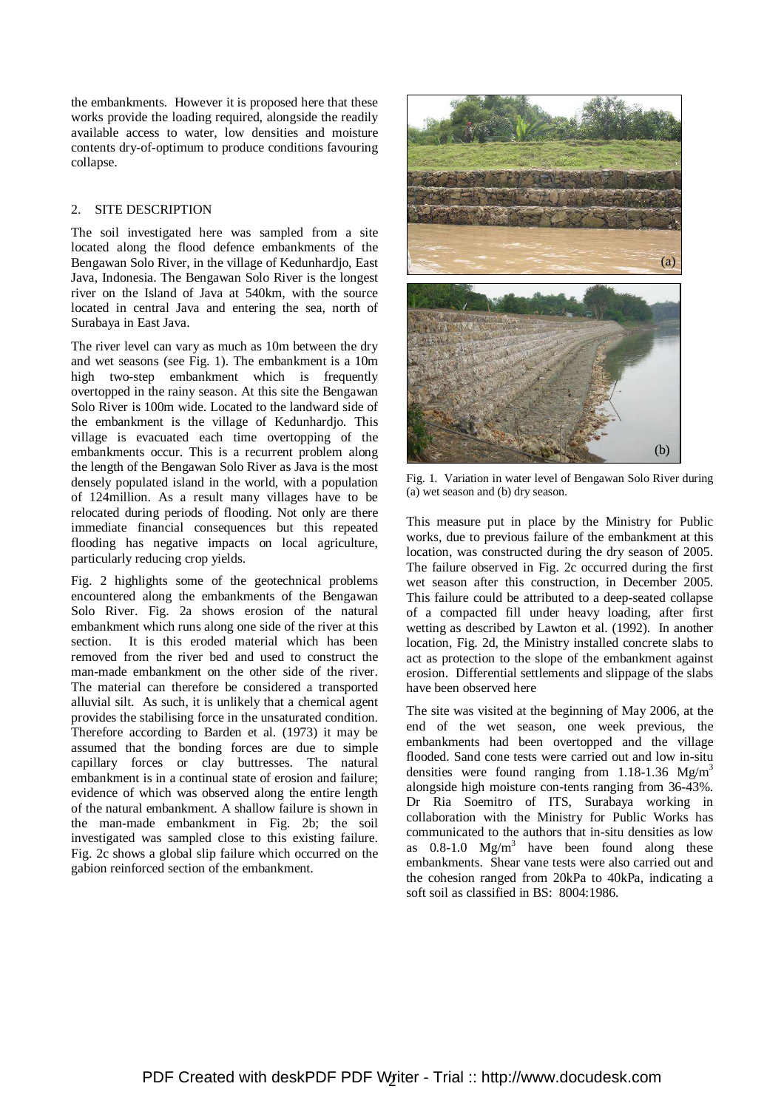the embankments. However it is proposed here that these works provide the loading required, alongside the readily available access to water, low densities and moisture contents dry-of-optimum to produce conditions favouring collapse.

### 2. SITE DESCRIPTION

The soil investigated here was sampled from a site located along the flood defence embankments of the Bengawan Solo River, in the village of Kedunhardjo, East Java, Indonesia. The Bengawan Solo River is the longest river on the Island of Java at 540km, with the source located in central Java and entering the sea, north of Surabaya in East Java.

The river level can vary as much as 10m between the dry and wet seasons (see Fig. 1). The embankment is a 10m high two-step embankment which is frequently overtopped in the rainy season. At this site the Bengawan Solo River is 100m wide. Located to the landward side of the embankment is the village of Kedunhardjo. This village is evacuated each time overtopping of the embankments occur. This is a recurrent problem along the length of the Bengawan Solo River as Java is the most densely populated island in the world, with a population of 124million. As a result many villages have to be relocated during periods of flooding. Not only are there immediate financial consequences but this repeated flooding has negative impacts on local agriculture, particularly reducing crop yields.

Fig. 2 highlights some of the geotechnical problems encountered along the embankments of the Bengawan Solo River. Fig. 2a shows erosion of the natural embankment which runs along one side of the river at this section. It is this eroded material which has been removed from the river bed and used to construct the man-made embankment on the other side of the river. The material can therefore be considered a transported alluvial silt. As such, it is unlikely that a chemical agent provides the stabilising force in the unsaturated condition. Therefore according to Barden et al. (1973) it may be assumed that the bonding forces are due to simple capillary forces or clay buttresses. The natural embankment is in a continual state of erosion and failure; evidence of which was observed along the entire length of the natural embankment. A shallow failure is shown in the man-made embankment in Fig. 2b; the soil investigated was sampled close to this existing failure. Fig. 2c shows a global slip failure which occurred on the gabion reinforced section of the embankment.



Fig. 1. Variation in water level of Bengawan Solo River during (a) wet season and (b) dry season.

This measure put in place by the Ministry for Public works, due to previous failure of the embankment at this location, was constructed during the dry season of 2005. The failure observed in Fig. 2c occurred during the first wet season after this construction, in December 2005. This failure could be attributed to a deep-seated collapse of a compacted fill under heavy loading, after first wetting as described by Lawton et al. (1992). In another location, Fig. 2d, the Ministry installed concrete slabs to act as protection to the slope of the embankment against erosion. Differential settlements and slippage of the slabs have been observed here

The site was visited at the beginning of May 2006, at the end of the wet season, one week previous, the embankments had been overtopped and the village flooded. Sand cone tests were carried out and low in-situ densities were found ranging from 1.18-1.36  $Mg/m<sup>3</sup>$ alongside high moisture con-tents ranging from 36-43%. Dr Ria Soemitro of ITS, Surabaya working in collaboration with the Ministry for Public Works has communicated to the authors that in-situ densities as low as  $0.8-1.0$  Mg/m<sup>3</sup> have been found along these embankments. Shear vane tests were also carried out and the cohesion ranged from 20kPa to 40kPa, indicating a soft soil as classified in BS: 8004:1986.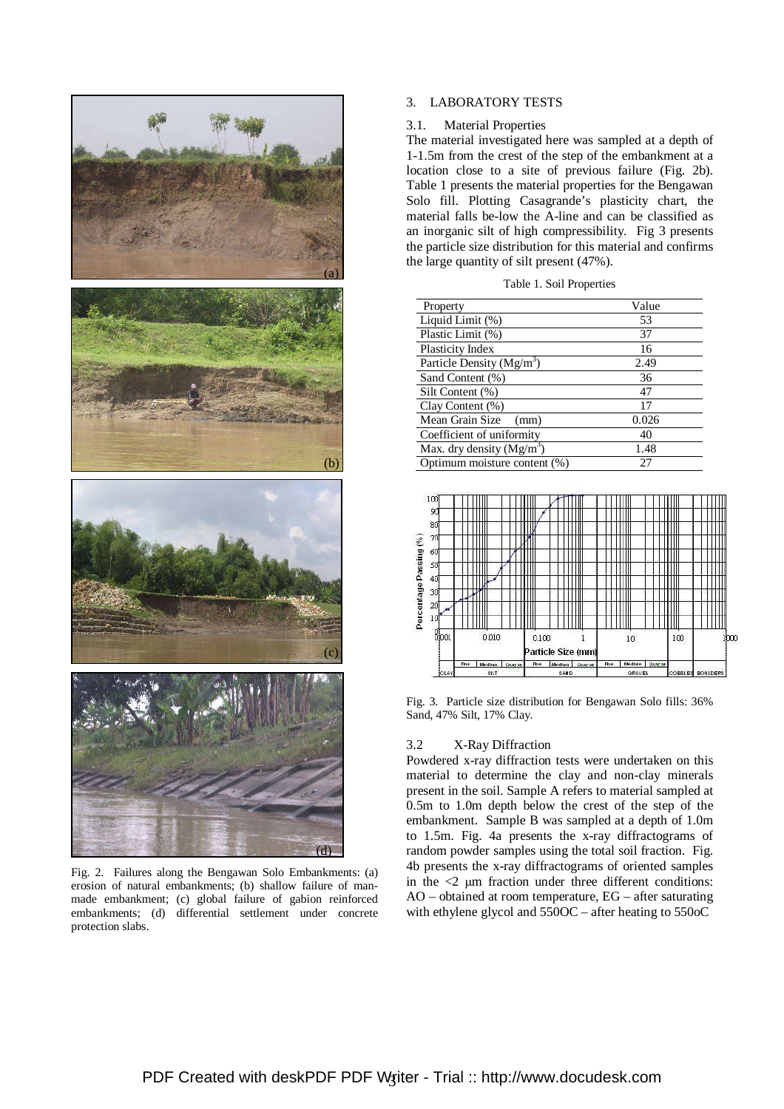

Fig. 2. Failures along the Bengawan Solo Embankments: (a) erosion of natural embankments; (b) shallow failure of manmade embankment; (c) global failure of gabion reinforced embankments; (d) differential settlement under concrete protection slabs.

## 3. LABORATORY TESTS

#### 3.1. Material Properties

The material investigated here was sampled at a depth of 1-1.5m from the crest of the step of the embankment at a location close to a site of previous failure (Fig. 2b). Table 1 presents the material properties for the Bengawan Solo fill. Plotting Casagrande's plasticity chart, the material falls be-low the A-line and can be classified as an inorganic silt of high compressibility. Fig 3 presents the particle size distribution for this material and confirms the large quantity of silt present (47%).

| Property                     | Value |
|------------------------------|-------|
| Liquid Limit (%)             | 53    |
| Plastic Limit (%)            | 37    |
| Plasticity Index             | 16    |
| Particle Density $(Mg/m3)$   | 2.49  |
| Sand Content (%)             | 36    |
| Silt Content (%)             | 47    |
| Clay Content (%)             | 17    |
| Mean Grain Size<br>(mm)      | 0.026 |
| Coefficient of uniformity    | 40    |
| Max. dry density $(Mg/m^3)$  | 1.48  |
| Optimum moisture content (%) | 27    |



Fig. 3. Particle size distribution for Bengawan Solo fills: 36% Sand, 47% Silt, 17% Clay.

### 3.2 X-Ray Diffraction

Powdered x-ray diffraction tests were undertaken on this material to determine the clay and non-clay minerals present in the soil. Sample A refers to material sampled at 0.5m to 1.0m depth below the crest of the step of the embankment. Sample B was sampled at a depth of 1.0m to 1.5m. Fig. 4a presents the x-ray diffractograms of random powder samples using the total soil fraction. Fig. 4b presents the x-ray diffractograms of oriented samples in the  $\langle 2 \rangle$  µm fraction under three different conditions: AO – obtained at room temperature, EG – after saturating with ethylene glycol and 550OC – after heating to 550oC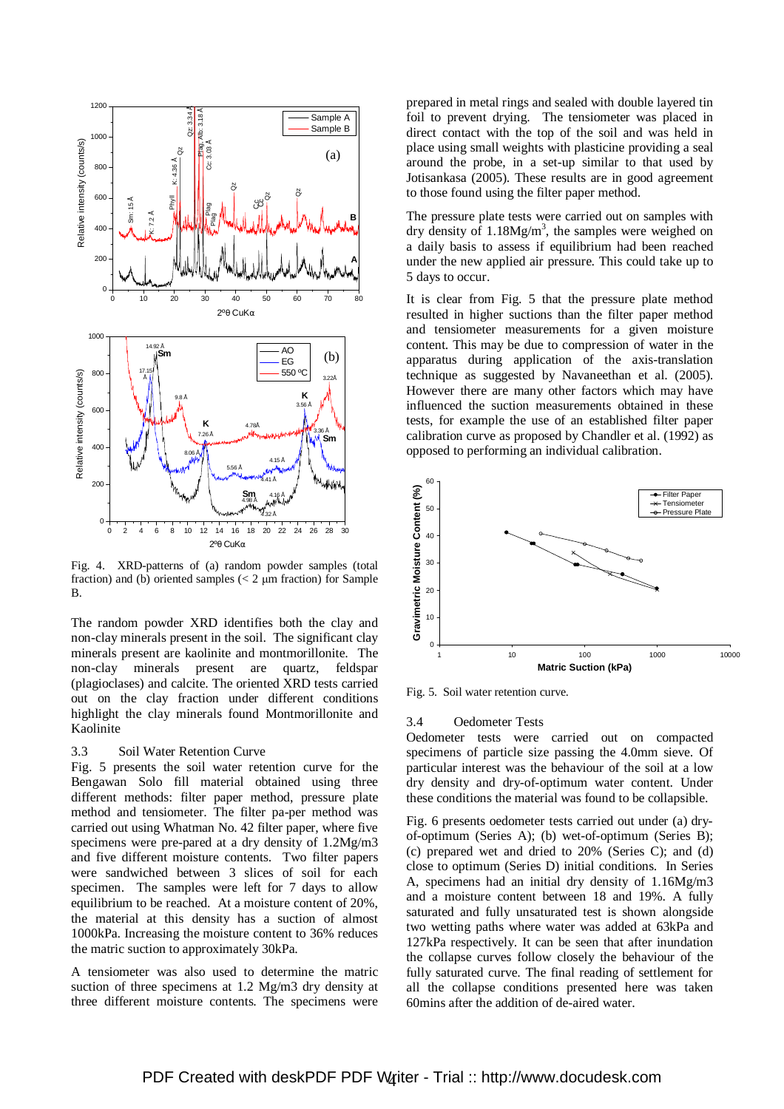

Fig. 4. XRD-patterns of (a) random powder samples (total fraction) and (b) oriented samples  $\left($  < 2  $\mu$ m fraction) for Sample B.

The random powder XRD identifies both the clay and non-clay minerals present in the soil. The significant clay minerals present are kaolinite and montmorillonite. The non-clay minerals present are quartz, feldspar (plagioclases) and calcite. The oriented XRD tests carried out on the clay fraction under different conditions highlight the clay minerals found Montmorillonite and Kaolinite

#### 3.3 Soil Water Retention Curve

Fig. 5 presents the soil water retention curve for the Bengawan Solo fill material obtained using three different methods: filter paper method, pressure plate method and tensiometer. The filter pa-per method was carried out using Whatman No. 42 filter paper, where five specimens were pre-pared at a dry density of 1.2Mg/m3 and five different moisture contents. Two filter papers were sandwiched between 3 slices of soil for each specimen. The samples were left for 7 days to allow equilibrium to be reached. At a moisture content of 20%, the material at this density has a suction of almost 1000kPa. Increasing the moisture content to 36% reduces the matric suction to approximately 30kPa.

A tensiometer was also used to determine the matric suction of three specimens at 1.2 Mg/m3 dry density at three different moisture contents. The specimens were

prepared in metal rings and sealed with double layered tin foil to prevent drying. The tensiometer was placed in direct contact with the top of the soil and was held in place using small weights with plasticine providing a seal around the probe, in a set-up similar to that used by Jotisankasa (2005). These results are in good agreement to those found using the filter paper method.

The pressure plate tests were carried out on samples with dry density of  $1.18Mg/m<sup>3</sup>$ , the samples were weighed on a daily basis to assess if equilibrium had been reached under the new applied air pressure. This could take up to 5 days to occur.

It is clear from Fig. 5 that the pressure plate method resulted in higher suctions than the filter paper method and tensiometer measurements for a given moisture content. This may be due to compression of water in the apparatus during application of the axis-translation technique as suggested by Navaneethan et al. (2005). However there are many other factors which may have influenced the suction measurements obtained in these tests, for example the use of an established filter paper calibration curve as proposed by Chandler et al. (1992) as opposed to performing an individual calibration.



Fig. 5. Soil water retention curve.

#### 3.4 Oedometer Tests

Oedometer tests were carried out on compacted specimens of particle size passing the 4.0mm sieve. Of particular interest was the behaviour of the soil at a low dry density and dry-of-optimum water content. Under these conditions the material was found to be collapsible.

Fig. 6 presents oedometer tests carried out under (a) dryof-optimum (Series A); (b) wet-of-optimum (Series B); (c) prepared wet and dried to 20% (Series C); and (d) close to optimum (Series D) initial conditions. In Series A, specimens had an initial dry density of 1.16Mg/m3 and a moisture content between 18 and 19%. A fully saturated and fully unsaturated test is shown alongside two wetting paths where water was added at 63kPa and 127kPa respectively. It can be seen that after inundation the collapse curves follow closely the behaviour of the fully saturated curve. The final reading of settlement for all the collapse conditions presented here was taken 60mins after the addition of de-aired water.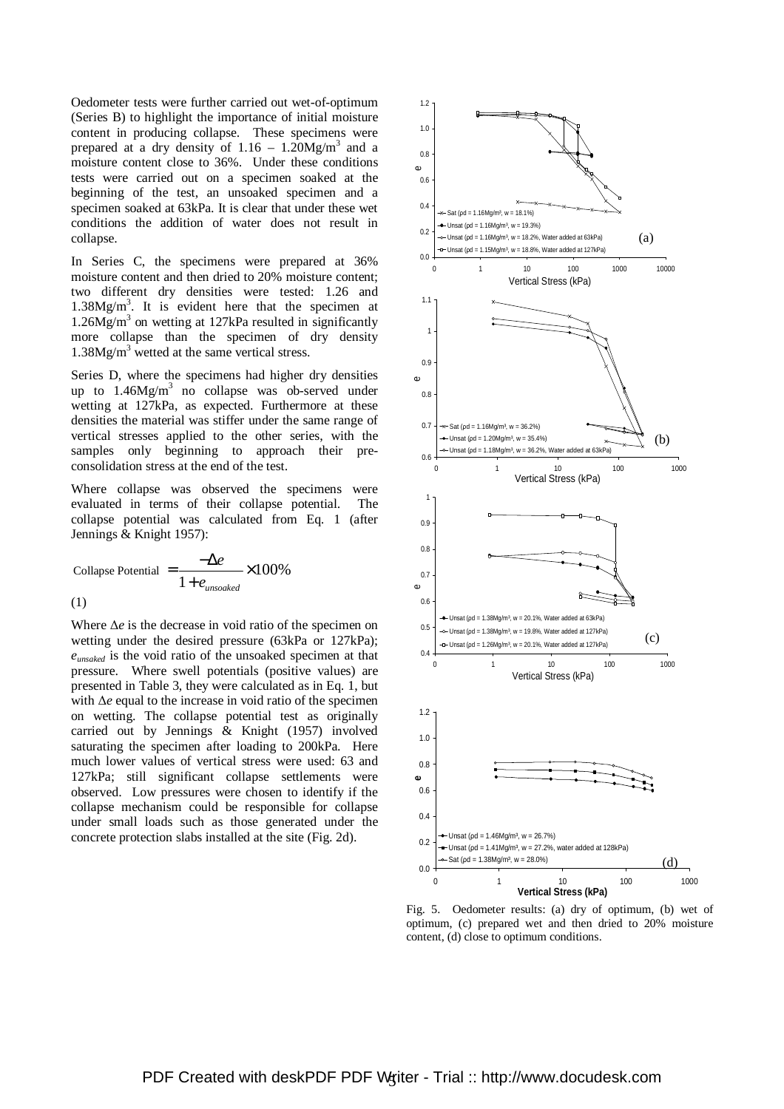Oedometer tests were further carried out wet-of-optimum (Series B) to highlight the importance of initial moisture content in producing collapse. These specimens were prepared at a dry density of  $1.16 - 1.20$ Mg/m<sup>3</sup> and a moisture content close to 36%. Under these conditions tests were carried out on a specimen soaked at the beginning of the test, an unsoaked specimen and a specimen soaked at 63kPa. It is clear that under these wet conditions the addition of water does not result in collapse.

In Series C, the specimens were prepared at 36% moisture content and then dried to 20% moisture content; two different dry densities were tested: 1.26 and  $1.38Mg/m<sup>3</sup>$ . It is evident here that the specimen at  $1.26Mg/m<sup>3</sup>$  on wetting at 127kPa resulted in significantly more collapse than the specimen of dry density 1.38Mg/m<sup>3</sup> wetted at the same vertical stress.

Series D, where the specimens had higher dry densities up to  $1.46Mg/m^3$  no collapse was ob-served under wetting at 127kPa, as expected. Furthermore at these densities the material was stiffer under the same range of vertical stresses applied to the other series, with the samples only beginning to approach their preconsolidation stress at the end of the test.

Where collapse was observed the specimens were evaluated in terms of their collapse potential. The collapse potential was calculated from Eq. 1 (after Jennings & Knight 1957):

Collapse Potential 
$$
=\frac{-\Delta e}{1 + e_{unsolated}} \times 100\%
$$
  
(1)

Where ∆*e* is the decrease in void ratio of the specimen on wetting under the desired pressure (63kPa or 127kPa); *eunsaked* is the void ratio of the unsoaked specimen at that pressure. Where swell potentials (positive values) are presented in Table 3, they were calculated as in Eq. 1, but with ∆*e* equal to the increase in void ratio of the specimen on wetting. The collapse potential test as originally carried out by Jennings & Knight (1957) involved saturating the specimen after loading to 200kPa. Here much lower values of vertical stress were used: 63 and 127kPa; still significant collapse settlements were observed. Low pressures were chosen to identify if the collapse mechanism could be responsible for collapse under small loads such as those generated under the concrete protection slabs installed at the site (Fig. 2d).



Fig. 5. Oedometer results: (a) dry of optimum, (b) wet of optimum, (c) prepared wet and then dried to 20% moisture content, (d) close to optimum conditions.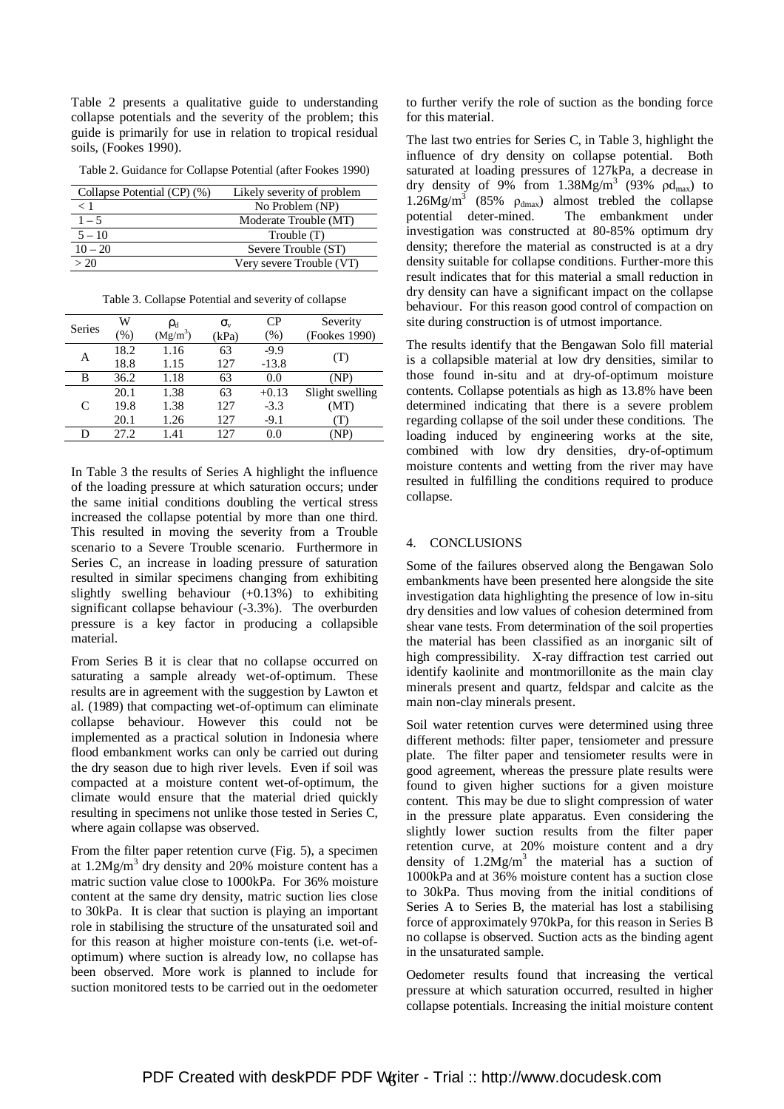Table 2 presents a qualitative guide to understanding collapse potentials and the severity of the problem; this guide is primarily for use in relation to tropical residual soils, (Fookes 1990).

Table 2. Guidance for Collapse Potential (after Fookes 1990)

| Collapse Potential (CP) (%) | Likely severity of problem |
|-----------------------------|----------------------------|
| < 1                         | No Problem (NP)            |
| $1 - 5$                     | Moderate Trouble (MT)      |
| $5 - 10$                    | Trouble (T)                |
| $10 - 20$                   | Severe Trouble (ST)        |
| > 20                        | Very severe Trouble (VT)   |

Table 3. Collapse Potential and severity of collapse

| Series | W      | $\rho_{\rm d}$       | $\sigma_{\rm v}$ | CP      | Severity        |
|--------|--------|----------------------|------------------|---------|-----------------|
|        | $(\%)$ | (Mg/m <sup>3</sup> ) | (kPa)            | (% )    | (Fookes 1990)   |
| А      | 18.2   | 1.16                 | 63               | $-9.9$  |                 |
|        | 18.8   | 1.15                 | 127              | $-13.8$ | (T)             |
| В      | 36.2   | 1.18                 | 63               | 0.0     | (NP)            |
| C      | 20.1   | 1.38                 | 63               | $+0.13$ | Slight swelling |
|        | 19.8   | 1.38                 | 127              | $-3.3$  | (MT)            |
|        | 20.1   | 1.26                 | 127              | $-9.1$  |                 |
| D      | 27.2   | 1.41                 | 127              | 0.0     |                 |

In Table 3 the results of Series A highlight the influence of the loading pressure at which saturation occurs; under the same initial conditions doubling the vertical stress increased the collapse potential by more than one third. This resulted in moving the severity from a Trouble scenario to a Severe Trouble scenario. Furthermore in Series C, an increase in loading pressure of saturation resulted in similar specimens changing from exhibiting slightly swelling behaviour  $(+0.13%)$  to exhibiting significant collapse behaviour (-3.3%). The overburden pressure is a key factor in producing a collapsible material.

From Series B it is clear that no collapse occurred on saturating a sample already wet-of-optimum. These results are in agreement with the suggestion by Lawton et al. (1989) that compacting wet-of-optimum can eliminate collapse behaviour. However this could not be implemented as a practical solution in Indonesia where flood embankment works can only be carried out during the dry season due to high river levels. Even if soil was compacted at a moisture content wet-of-optimum, the climate would ensure that the material dried quickly resulting in specimens not unlike those tested in Series C, where again collapse was observed.

From the filter paper retention curve (Fig. 5), a specimen at 1.2Mg/m<sup>3</sup> dry density and 20% moisture content has a matric suction value close to 1000kPa. For 36% moisture content at the same dry density, matric suction lies close to 30kPa. It is clear that suction is playing an important role in stabilising the structure of the unsaturated soil and for this reason at higher moisture con-tents (i.e. wet-ofoptimum) where suction is already low, no collapse has been observed. More work is planned to include for suction monitored tests to be carried out in the oedometer

to further verify the role of suction as the bonding force for this material.

The last two entries for Series C, in Table 3, highlight the influence of dry density on collapse potential. Both saturated at loading pressures of 127kPa, a decrease in dry density of 9% from  $1.38Mg/m^3$  (93%  $\beta d_{max}$ ) to  $1.26Mg/m^3$  (85%  $\rho_{dmax}$ ) almost trebled the collapse potential deter-mined. The embankment under investigation was constructed at 80-85% optimum dry density; therefore the material as constructed is at a dry density suitable for collapse conditions. Further-more this result indicates that for this material a small reduction in dry density can have a significant impact on the collapse behaviour. For this reason good control of compaction on site during construction is of utmost importance.

The results identify that the Bengawan Solo fill material is a collapsible material at low dry densities, similar to those found in-situ and at dry-of-optimum moisture contents. Collapse potentials as high as 13.8% have been determined indicating that there is a severe problem regarding collapse of the soil under these conditions. The loading induced by engineering works at the site, combined with low dry densities, dry-of-optimum moisture contents and wetting from the river may have resulted in fulfilling the conditions required to produce collapse.

### 4. CONCLUSIONS

Some of the failures observed along the Bengawan Solo embankments have been presented here alongside the site investigation data highlighting the presence of low in-situ dry densities and low values of cohesion determined from shear vane tests. From determination of the soil properties the material has been classified as an inorganic silt of high compressibility. X-ray diffraction test carried out identify kaolinite and montmorillonite as the main clay minerals present and quartz, feldspar and calcite as the main non-clay minerals present.

Soil water retention curves were determined using three different methods: filter paper, tensiometer and pressure plate. The filter paper and tensiometer results were in good agreement, whereas the pressure plate results were found to given higher suctions for a given moisture content. This may be due to slight compression of water in the pressure plate apparatus. Even considering the slightly lower suction results from the filter paper retention curve, at 20% moisture content and a dry density of  $1.2Mg/m<sup>3</sup>$  the material has a suction of 1000kPa and at 36% moisture content has a suction close to 30kPa. Thus moving from the initial conditions of Series A to Series B, the material has lost a stabilising force of approximately 970kPa, for this reason in Series B no collapse is observed. Suction acts as the binding agent in the unsaturated sample.

Oedometer results found that increasing the vertical pressure at which saturation occurred, resulted in higher collapse potentials. Increasing the initial moisture content